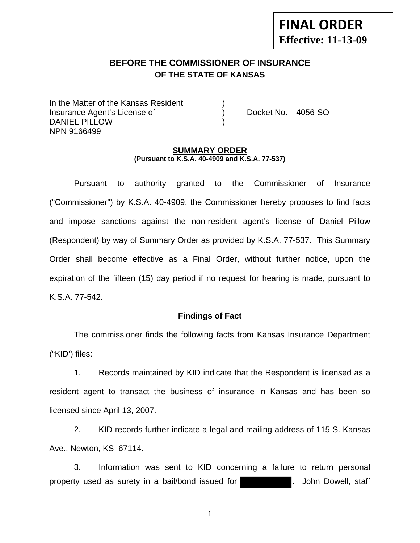# **FINAL ORDER Effective: 11-13-09**

# **BEFORE THE COMMISSIONER OF INSURANCE OF THE STATE OF KANSAS**

In the Matter of the Kansas Resident Insurance Agent's License of ) Docket No. 4056-SO DANIEL PILLOW NPN 9166499

#### **SUMMARY ORDER (Pursuant to K.S.A. 40-4909 and K.S.A. 77-537)**

 Pursuant to authority granted to the Commissioner of Insurance ("Commissioner") by K.S.A. 40-4909, the Commissioner hereby proposes to find facts and impose sanctions against the non-resident agent's license of Daniel Pillow (Respondent) by way of Summary Order as provided by K.S.A. 77-537. This Summary Order shall become effective as a Final Order, without further notice, upon the expiration of the fifteen (15) day period if no request for hearing is made, pursuant to K.S.A. 77-542.

### **Findings of Fact**

 The commissioner finds the following facts from Kansas Insurance Department ("KID') files:

 1. Records maintained by KID indicate that the Respondent is licensed as a resident agent to transact the business of insurance in Kansas and has been so licensed since April 13, 2007.

 2. KID records further indicate a legal and mailing address of 115 S. Kansas Ave., Newton, KS 67114.

 3. Information was sent to KID concerning a failure to return personal property used as surety in a bail/bond issued for **the surfer of the U**. John Dowell, staff

1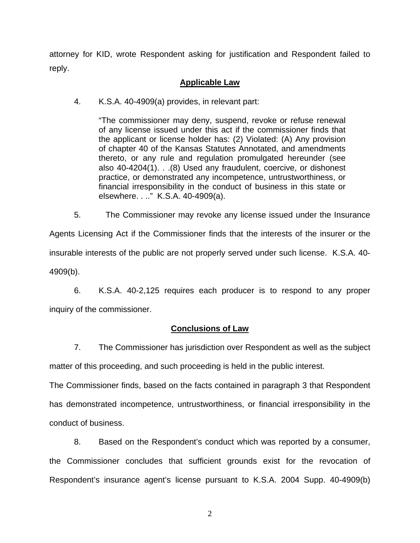attorney for KID, wrote Respondent asking for justification and Respondent failed to reply.

# **Applicable Law**

4. K.S.A. 40-4909(a) provides, in relevant part:

"The commissioner may deny, suspend, revoke or refuse renewal of any license issued under this act if the commissioner finds that the applicant or license holder has: (2) Violated: (A) Any provision of chapter 40 of the Kansas Statutes Annotated, and amendments thereto, or any rule and regulation promulgated hereunder (see also 40-4204(1). . .(8) Used any fraudulent, coercive, or dishonest practice, or demonstrated any incompetence, untrustworthiness, or financial irresponsibility in the conduct of business in this state or elsewhere. . .." K.S.A. 40-4909(a).

 5. The Commissioner may revoke any license issued under the Insurance Agents Licensing Act if the Commissioner finds that the interests of the insurer or the insurable interests of the public are not properly served under such license. K.S.A. 40- 4909(b).

 6. K.S.A. 40-2,125 requires each producer is to respond to any proper inquiry of the commissioner.

## **Conclusions of Law**

 7. The Commissioner has jurisdiction over Respondent as well as the subject matter of this proceeding, and such proceeding is held in the public interest.

The Commissioner finds, based on the facts contained in paragraph 3 that Respondent has demonstrated incompetence, untrustworthiness, or financial irresponsibility in the conduct of business.

 8. Based on the Respondent's conduct which was reported by a consumer, the Commissioner concludes that sufficient grounds exist for the revocation of Respondent's insurance agent's license pursuant to K.S.A. 2004 Supp. 40-4909(b)

2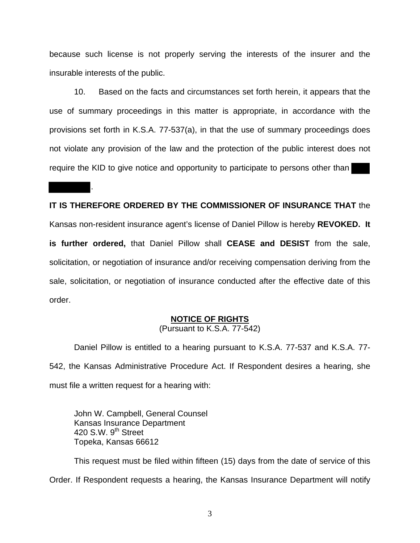because such license is not properly serving the interests of the insurer and the insurable interests of the public.

 10. Based on the facts and circumstances set forth herein, it appears that the use of summary proceedings in this matter is appropriate, in accordance with the provisions set forth in K.S.A. 77-537(a), in that the use of summary proceedings does not violate any provision of the law and the protection of the public interest does not require the KID to give notice and opportunity to participate to persons other than

## **IT IS THEREFORE ORDERED BY THE COMMISSIONER OF INSURANCE THAT** the

Kansas non-resident insurance agent's license of Daniel Pillow is hereby **REVOKED. It is further ordered,** that Daniel Pillow shall **CEASE and DESIST** from the sale, solicitation, or negotiation of insurance and/or receiving compensation deriving from the sale, solicitation, or negotiation of insurance conducted after the effective date of this order.

### **NOTICE OF RIGHTS**

(Pursuant to K.S.A. 77-542)

Daniel Pillow is entitled to a hearing pursuant to K.S.A. 77-537 and K.S.A. 77- 542, the Kansas Administrative Procedure Act. If Respondent desires a hearing, she must file a written request for a hearing with:

 John W. Campbell, General Counsel Kansas Insurance Department 420 S.W. 9<sup>th</sup> Street Topeka, Kansas 66612

.

This request must be filed within fifteen (15) days from the date of service of this Order. If Respondent requests a hearing, the Kansas Insurance Department will notify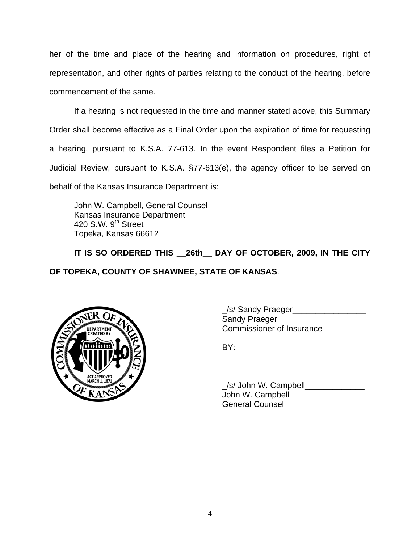her of the time and place of the hearing and information on procedures, right of representation, and other rights of parties relating to the conduct of the hearing, before commencement of the same.

If a hearing is not requested in the time and manner stated above, this Summary Order shall become effective as a Final Order upon the expiration of time for requesting a hearing, pursuant to K.S.A. 77-613. In the event Respondent files a Petition for Judicial Review, pursuant to K.S.A. §77-613(e), the agency officer to be served on behalf of the Kansas Insurance Department is:

 John W. Campbell, General Counsel Kansas Insurance Department 420 S.W. 9<sup>th</sup> Street Topeka, Kansas 66612

 **IT IS SO ORDERED THIS \_\_26th\_\_ DAY OF OCTOBER, 2009, IN THE CITY OF TOPEKA, COUNTY OF SHAWNEE, STATE OF KANSAS**.



 \_/s/ Sandy Praeger\_\_\_\_\_\_\_\_\_\_\_\_\_\_\_\_ Sandy Praeger DEPARTMENT VAN COMMISSIONER OF INSURANCE

 \_/s/ John W. Campbell\_\_\_\_\_\_\_\_\_\_\_\_\_ John W. Campbell General Counsel